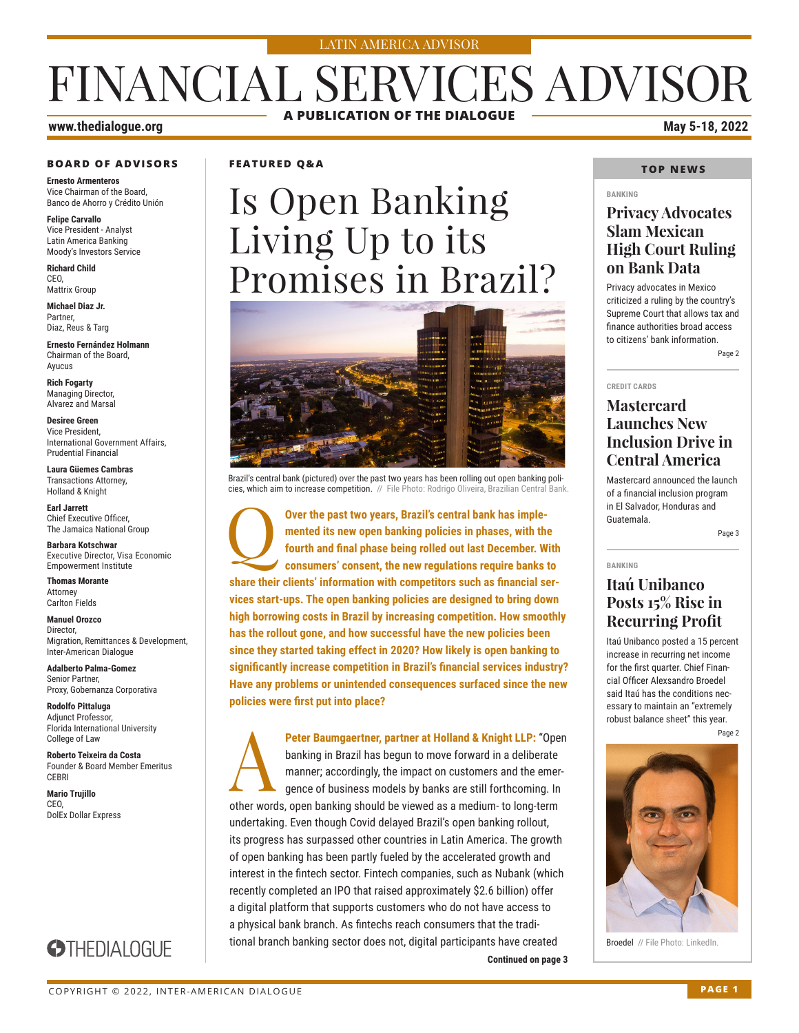#### LATIN AMERICA ADVISOR

## FINANCIAL SERVICES ADVISOR **A PUBLICATION OF THE DIALOGUE**

### **www.thedialogue.org May 5-18, 2022**

#### **BOARD OF ADVISORS**

**Ernesto Armenteros** Vice Chairman of the Board, Banco de Ahorro y Crédito Unión

**Felipe Carvallo** Vice President - Analyst Latin America Banking Moody's Investors Service

**Richard Child** CEO, Mattrix Group

**Michael Diaz Jr.** Partner, Diaz, Reus & Targ

**Ernesto Fernández Holmann** Chairman of the Board, Ayucus

**Rich Fogarty** Managing Director, Alvarez and Marsal

**Desiree Green** Vice President, International Government Affairs, Prudential Financial

**Laura Güemes Cambras** Transactions Attorney, Holland & Knight

**Earl Jarrett** Chief Executive Officer, The Jamaica National Group

**Barbara Kotschwar** Executive Director, Visa Economic Empowerment Institute

**Thomas Morante** Attorney Carlton Fields

**Manuel Orozco** Director, Migration, Remittances & Development, Inter-American Dialogue

**Adalberto Palma-Gomez** Senior Partner, Proxy, Gobernanza Corporativa

**Rodolfo Pittaluga** Adjunct Professor, Florida International University College of Law

**Roberto Teixeira da Costa** Founder & Board Member Emeritus **CERRI** 

**Mario Trujillo** CEO, DolEx Dollar Express

### **FEATURED Q&A**

# Is Open Banking Living Up to its Promises in Brazil?



Brazil's central bank (pictured) over the past two years has been rolling out open banking policies, which aim to increase competition. // File Photo: Rodrigo Oliveira, Brazilian Central

Q**Over the past two years, Brazil's central bank has implemented its new open banking policies in phases, with the fourth and final phase being rolled out last December. With consumers' consent, the new regulations require banks to share their clients' information with competitors such as financial services start-ups. The open banking policies are designed to bring down high borrowing costs in Brazil by increasing competition. How smoothly has the rollout gone, and how successful have the new policies been since they started taking effect in 2020? How likely is open banking to significantly increase competition in Brazil's financial services industry? Have any problems or unintended consequences surfaced since the new policies were first put into place?**

A**Peter Baumgaertner, partner at Holland & Knight LLP:** "Open banking in Brazil has begun to move forward in a deliberate manner; accordingly, the impact on customers and the emergence of business models by banks are still forthcoming. In other words, open banking should be viewed as a medium- to long-term undertaking. Even though Covid delayed Brazil's open banking rollout, its progress has surpassed other countries in Latin America. The growth of open banking has been partly fueled by the accelerated growth and interest in the fintech sector. Fintech companies, such as Nubank (which recently completed an IPO that raised approximately \$2.6 billion) offer a digital platform that supports customers who do not have access to a physical bank branch. As fintechs reach consumers that the traditional branch banking sector does not, digital participants have created

#### **TOP NEWS**

#### **BANKING**

### **Privacy Advocates Slam Mexican High Court Ruling on Bank Data**

Privacy advocates in Mexico criticized a ruling by the country's Supreme Court that allows tax and finance authorities broad access to citizens' bank information.

Page 2

#### **CREDIT CARDS**

### **Mastercard Launches New Inclusion Drive in Central America**

Mastercard announced the launch of a financial inclusion program in El Salvador, Honduras and Guatemala.

Page 3

**BANKING**

### **Itaú Unibanco Posts 15% Rise in Recurring Profit**

Itaú Unibanco posted a 15 percent increase in recurring net income for the first quarter. Chief Financial Officer Alexsandro Broedel said Itaú has the conditions necessary to maintain an "extremely robust balance sheet" this year.

Page 2



Broedel // File Photo: LinkedIn.

**Continued on page 3** 

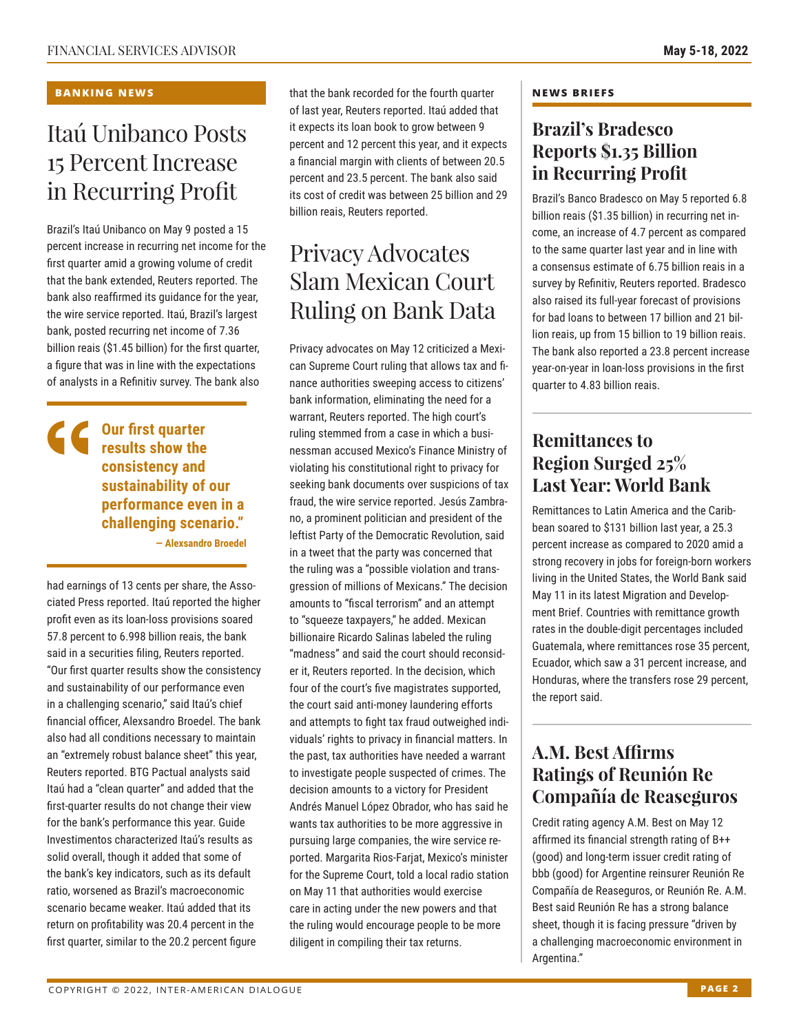#### **BANKING NEWS**

## Itaú Unibanco Posts 15 Percent Increase in Recurring Profit

Brazil's Itaú Unibanco on May 9 posted a 15 percent increase in recurring net income for the first quarter amid a growing volume of credit that the bank extended, Reuters reported. The bank also reaffirmed its guidance for the year, the wire service reported. Itaú, Brazil's largest bank, posted recurring net income of 7.36 billion reais (\$1.45 billion) for the first quarter, a figure that was in line with the expectations of analysts in a Refinitiv survey. The bank also

### **Our first quarter results show the consistency and sustainability of our performance even in a challenging scenario."**

**— Alexsandro Broedel**

had earnings of 13 cents per share, the Associated Press reported. Itaú reported the higher profit even as its loan-loss provisions soared 57.8 percent to 6.998 billion reais, the bank said in a securities filing, Reuters reported. "Our first quarter results show the consistency and sustainability of our performance even in a challenging scenario," said Itaú's chief financial officer, Alexsandro Broedel. The bank also had all conditions necessary to maintain an "extremely robust balance sheet" this year, Reuters reported. BTG Pactual analysts said Itaú had a "clean quarter" and added that the first-quarter results do not change their view for the bank's performance this year. Guide Investimentos characterized Itaú's results as solid overall, though it added that some of the bank's key indicators, such as its default ratio, worsened as Brazil's macroeconomic scenario became weaker. Itaú added that its return on profitability was 20.4 percent in the first quarter, similar to the 20.2 percent figure

that the bank recorded for the fourth quarter of last year, Reuters reported. Itaú added that it expects its loan book to grow between 9 percent and 12 percent this year, and it expects a financial margin with clients of between 20.5 percent and 23.5 percent. The bank also said its cost of credit was between 25 billion and 29 billion reais, Reuters reported.

## Privacy Advocates Slam Mexican Court Ruling on Bank Data

Privacy advocates on May 12 criticized a Mexican Supreme Court ruling that allows tax and finance authorities sweeping access to citizens' bank information, eliminating the need for a warrant, Reuters reported. The high court's ruling stemmed from a case in which a businessman accused Mexico's Finance Ministry of violating his constitutional right to privacy for seeking bank documents over suspicions of tax fraud, the wire service reported. Jesús Zambrano, a prominent politician and president of the leftist Party of the Democratic Revolution, said in a tweet that the party was concerned that the ruling was a "possible violation and transgression of millions of Mexicans." The decision amounts to "fiscal terrorism" and an attempt to "squeeze taxpayers," he added. Mexican billionaire Ricardo Salinas labeled the ruling "madness" and said the court should reconsider it, Reuters reported. In the decision, which four of the court's five magistrates supported, the court said anti-money laundering efforts and attempts to fight tax fraud outweighed individuals' rights to privacy in financial matters. In the past, tax authorities have needed a warrant to investigate people suspected of crimes. The decision amounts to a victory for President Andrés Manuel López Obrador, who has said he wants tax authorities to be more aggressive in pursuing large companies, the wire service reported. Margarita Rios-Farjat, Mexico's minister for the Supreme Court, told a local radio station on May 11 that authorities would exercise care in acting under the new powers and that the ruling would encourage people to be more diligent in compiling their tax returns.

#### **NEWS BRIEFS**

### **Brazil's Bradesco Reports \$1.35 Billion in Recurring Profit**

Brazil's Banco Bradesco on May 5 reported 6.8 billion reais (\$1.35 billion) in recurring net income, an increase of 4.7 percent as compared to the same quarter last year and in line with a consensus estimate of 6.75 billion reais in a survey by Refinitiv, Reuters reported. Bradesco also raised its full-year forecast of provisions for bad loans to between 17 billion and 21 billion reais, up from 15 billion to 19 billion reais. The bank also reported a 23.8 percent increase year-on-year in loan-loss provisions in the first quarter to 4.83 billion reais.

### **Remittances to Region Surged 25% Last Year: World Bank**

Remittances to Latin America and the Caribbean soared to \$131 billion last year, a 25.3 percent increase as compared to 2020 amid a strong recovery in jobs for foreign-born workers living in the United States, the World Bank said May 11 in its latest Migration and Development Brief. Countries with remittance growth rates in the double-digit percentages included Guatemala, where remittances rose 35 percent, Ecuador, which saw a 31 percent increase, and Honduras, where the transfers rose 29 percent, the report said.

### **A.M. Best Affirms Ratings of Reunión Re Compañía de Reaseguros**

Credit rating agency A.M. Best on May 12 affirmed its financial strength rating of B++ (good) and long-term issuer credit rating of bbb (good) for Argentine reinsurer Reunión Re Compañía de Reaseguros, or Reunión Re. A.M. Best said Reunión Re has a strong balance sheet, though it is facing pressure "driven by a challenging macroeconomic environment in Argentina."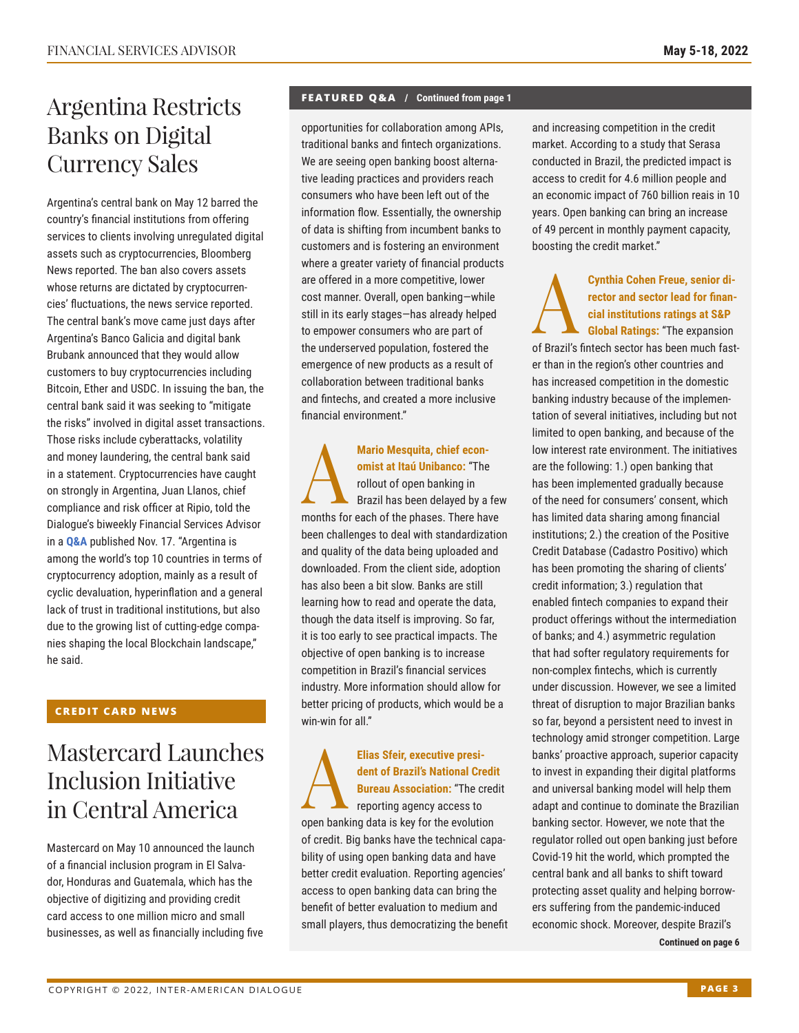## Argentina Restricts Banks on Digital Currency Sales

Argentina's central bank on May 12 barred the country's financial institutions from offering services to clients involving unregulated digital assets such as cryptocurrencies, Bloomberg News reported. The ban also covers assets whose returns are dictated by cryptocurrencies' fluctuations, the news service reported. The central bank's move came just days after Argentina's Banco Galicia and digital bank Brubank announced that they would allow customers to buy cryptocurrencies including Bitcoin, Ether and USDC. In issuing the ban, the central bank said it was seeking to "mitigate the risks" involved in digital asset transactions. Those risks include cyberattacks, volatility and money laundering, the central bank said in a statement. Cryptocurrencies have caught on strongly in Argentina, Juan Llanos, chief compliance and risk officer at Ripio, told the Dialogue's biweekly Financial Services Advisor in a **[Q&A](http://www.thedialogue.org/wp-content/uploads/2021/11/FSA211117.pdf)** published Nov. 17. "Argentina is among the world's top 10 countries in terms of cryptocurrency adoption, mainly as a result of cyclic devaluation, hyperinflation and a general lack of trust in traditional institutions, but also due to the growing list of cutting-edge companies shaping the local Blockchain landscape," he said.

### **CREDIT CARD NEWS**

## Mastercard Launches Inclusion Initiative in Central America

Mastercard on May 10 announced the launch of a financial inclusion program in El Salvador, Honduras and Guatemala, which has the objective of digitizing and providing credit card access to one million micro and small businesses, as well as financially including five

### **FEATURED Q&A / Continued from page 1**

opportunities for collaboration among APIs, traditional banks and fintech organizations. We are seeing open banking boost alternative leading practices and providers reach consumers who have been left out of the information flow. Essentially, the ownership of data is shifting from incumbent banks to customers and is fostering an environment where a greater variety of financial products are offered in a more competitive, lower cost manner. Overall, open banking—while still in its early stages—has already helped to empower consumers who are part of the underserved population, fostered the emergence of new products as a result of collaboration between traditional banks and fintechs, and created a more inclusive financial environment."

Mario Mesquita, chief econ-<br>
omist at Itaú Unibanco: "The<br>
rollout of open banking in<br>
Brazil has been delayed by a<br>
months for each of the phases. There has **omist at Itaú Unibanco:** "The rollout of open banking in Brazil has been delayed by a few months for each of the phases. There have been challenges to deal with standardization and quality of the data being uploaded and downloaded. From the client side, adoption has also been a bit slow. Banks are still learning how to read and operate the data, though the data itself is improving. So far, it is too early to see practical impacts. The objective of open banking is to increase competition in Brazil's financial services industry. More information should allow for better pricing of products, which would be a win-win for all"

Elias Sfeir, executive president of Brazil's National Cre<br>
Bureau Association: "The created as the reporting agency access to **dent of Brazil's National Credit Bureau Association:** "The credit reporting agency access to open banking data is key for the evolution of credit. Big banks have the technical capability of using open banking data and have better credit evaluation. Reporting agencies' access to open banking data can bring the benefit of better evaluation to medium and small players, thus democratizing the benefit and increasing competition in the credit market. According to a study that Serasa conducted in Brazil, the predicted impact is access to credit for 4.6 million people and an economic impact of 760 billion reais in 10 years. Open banking can bring an increase of 49 percent in monthly payment capacity, boosting the credit market."

**Cynthia Cohen Freue, senior di-**<br>rector and sector lead for finan-<br>cial institutions ratings at S&P<br>Global Ratings: "The expansion **rector and sector lead for financial institutions ratings at S&P Global Ratings:** "The expansion of Brazil's fintech sector has been much faster than in the region's other countries and has increased competition in the domestic banking industry because of the implementation of several initiatives, including but not limited to open banking, and because of the low interest rate environment. The initiatives are the following: 1.) open banking that has been implemented gradually because of the need for consumers' consent, which has limited data sharing among financial institutions; 2.) the creation of the Positive Credit Database (Cadastro Positivo) which has been promoting the sharing of clients' credit information; 3.) regulation that enabled fintech companies to expand their product offerings without the intermediation of banks; and 4.) asymmetric regulation that had softer regulatory requirements for non-complex fintechs, which is currently under discussion. However, we see a limited threat of disruption to major Brazilian banks so far, beyond a persistent need to invest in technology amid stronger competition. Large banks' proactive approach, superior capacity to invest in expanding their digital platforms and universal banking model will help them adapt and continue to dominate the Brazilian banking sector. However, we note that the regulator rolled out open banking just before Covid-19 hit the world, which prompted the central bank and all banks to shift toward protecting asset quality and helping borrowers suffering from the pandemic-induced economic shock. Moreover, despite Brazil's

**Continued on page 6**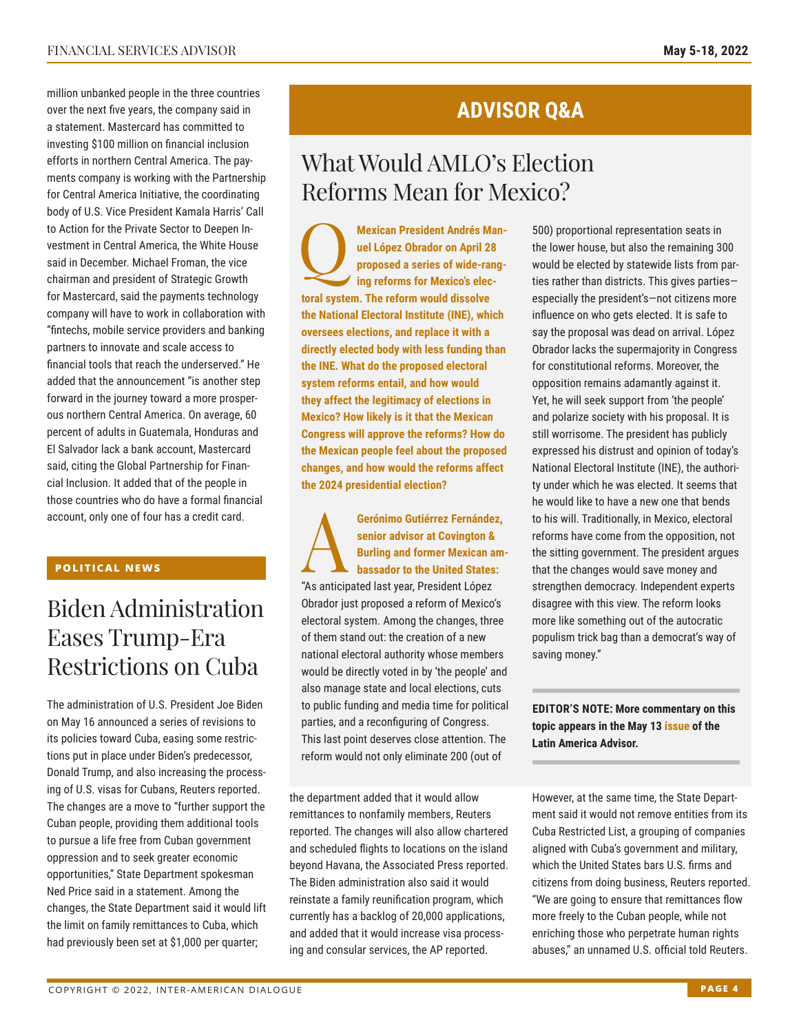million unbanked people in the three countries over the next five years, the company said in a statement. Mastercard has committed to investing \$100 million on financial inclusion efforts in northern Central America. The payments company is working with the Partnership for Central America Initiative, the coordinating body of U.S. Vice President Kamala Harris' Call to Action for the Private Sector to Deepen Investment in Central America, the White House said in December. Michael Froman, the vice chairman and president of Strategic Growth for Mastercard, said the payments technology company will have to work in collaboration with "fintechs, mobile service providers and banking partners to innovate and scale access to financial tools that reach the underserved." He added that the announcement "is another step forward in the journey toward a more prosperous northern Central America. On average, 60 percent of adults in Guatemala, Honduras and El Salvador lack a bank account, Mastercard said, citing the Global Partnership for Financial Inclusion. It added that of the people in those countries who do have a formal financial account, only one of four has a credit card.

### **POLITICAL NEWS**

## Biden Administration Eases Trump-Era Restrictions on Cuba

The administration of U.S. President Joe Biden on May 16 announced a series of revisions to its policies toward Cuba, easing some restrictions put in place under Biden's predecessor, Donald Trump, and also increasing the processing of U.S. visas for Cubans, Reuters reported. The changes are a move to "further support the Cuban people, providing them additional tools to pursue a life free from Cuban government oppression and to seek greater economic opportunities," State Department spokesman Ned Price said in a statement. Among the changes, the State Department said it would lift the limit on family remittances to Cuba, which had previously been set at \$1,000 per quarter;

### **ADVISOR Q&A**

## What Would AMLO's Election Reforms Mean for Mexico?

**Mexican President Andrés Man-<br>
uel López Obrador on April 28<br>
proposed a series of wide-rang-<br>
ing reforms for Mexico's elecuel López Obrador on April 28 proposed a series of wide-rangtoral system. The reform would dissolve the National Electoral Institute (INE), which oversees elections, and replace it with a directly elected body with less funding than the INE. What do the proposed electoral system reforms entail, and how would they affect the legitimacy of elections in Mexico? How likely is it that the Mexican Congress will approve the reforms? How do the Mexican people feel about the proposed changes, and how would the reforms affect the 2024 presidential election?**

Gerónimo Gutiérrez Fernández,<br>
senior advisor at Covington &<br>
Burling and former Mexican am<br>
bassador to the United States:<br>
"Ac opticipated lest veer Procident Lépez **senior advisor at Covington & Burling and former Mexican ambassador to the United States:**  "As anticipated last year, President López Obrador just proposed a reform of Mexico's electoral system. Among the changes, three of them stand out: the creation of a new national electoral authority whose members would be directly voted in by 'the people' and also manage state and local elections, cuts to public funding and media time for political parties, and a reconfiguring of Congress. This last point deserves close attention. The reform would not only eliminate 200 (out of

the department added that it would allow remittances to nonfamily members, Reuters reported. The changes will also allow chartered and scheduled flights to locations on the island beyond Havana, the Associated Press reported. The Biden administration also said it would reinstate a family reunification program, which currently has a backlog of 20,000 applications, and added that it would increase visa processing and consular services, the AP reported.

500) proportional representation seats in the lower house, but also the remaining 300 would be elected by statewide lists from parties rather than districts. This gives parties especially the president's—not citizens more influence on who gets elected. It is safe to say the proposal was dead on arrival. López Obrador lacks the supermajority in Congress for constitutional reforms. Moreover, the opposition remains adamantly against it. Yet, he will seek support from 'the people' and polarize society with his proposal. It is still worrisome. The president has publicly expressed his distrust and opinion of today's National Electoral Institute (INE), the authority under which he was elected. It seems that he would like to have a new one that bends to his will. Traditionally, in Mexico, electoral reforms have come from the opposition, not the sitting government. The president argues that the changes would save money and strengthen democracy. Independent experts disagree with this view. The reform looks more like something out of the autocratic populism trick bag than a democrat's way of saving money."

#### **EDITOR'S NOTE: More commentary on this topic appears in the May 1[3 issue of](https://www.thedialogue.org/wp-content/uploads/2022/05/LAA220513.pdf) the Latin America Advisor.**

However, at the same time, the State Department said it would not remove entities from its Cuba Restricted List, a grouping of companies aligned with Cuba's government and military, which the United States bars U.S. firms and citizens from doing business, Reuters reported. "We are going to ensure that remittances flow more freely to the Cuban people, while not enriching those who perpetrate human rights abuses," an unnamed U.S. official told Reuters.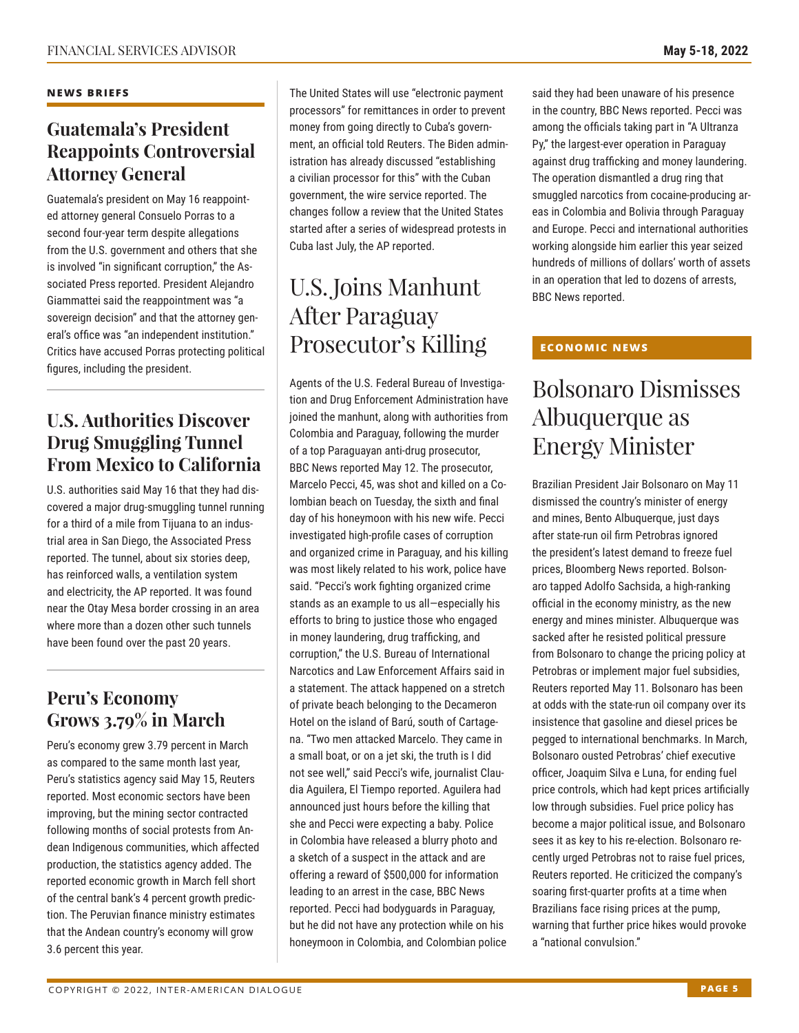#### **NEWS BRIEFS**

### **Guatemala's President Reappoints Controversial Attorney General**

Guatemala's president on May 16 reappointed attorney general Consuelo Porras to a second four-year term despite allegations from the U.S. government and others that she is involved "in significant corruption," the Associated Press reported. President Alejandro Giammattei said the reappointment was "a sovereign decision" and that the attorney general's office was "an independent institution." Critics have accused Porras protecting political figures, including the president.

### **U.S. Authorities Discover Drug Smuggling Tunnel From Mexico to California**

U.S. authorities said May 16 that they had discovered a major drug-smuggling tunnel running for a third of a mile from Tijuana to an industrial area in San Diego, the Associated Press reported. The tunnel, about six stories deep, has reinforced walls, a ventilation system and electricity, the AP reported. It was found near the Otay Mesa border crossing in an area where more than a dozen other such tunnels have been found over the past 20 years.

### **Peru's Economy Grows 3.79% in March**

Peru's economy grew 3.79 percent in March as compared to the same month last year, Peru's statistics agency said May 15, Reuters reported. Most economic sectors have been improving, but the mining sector contracted following months of social protests from Andean Indigenous communities, which affected production, the statistics agency added. The reported economic growth in March fell short of the central bank's 4 percent growth prediction. The Peruvian finance ministry estimates that the Andean country's economy will grow 3.6 percent this year.

The United States will use "electronic payment processors" for remittances in order to prevent money from going directly to Cuba's government, an official told Reuters. The Biden administration has already discussed "establishing a civilian processor for this" with the Cuban government, the wire service reported. The changes follow a review that the United States started after a series of widespread protests in Cuba last July, the AP reported.

## U.S. Joins Manhunt After Paraguay Prosecutor's Killing

Agents of the U.S. Federal Bureau of Investigation and Drug Enforcement Administration have joined the manhunt, along with authorities from Colombia and Paraguay, following the murder of a top Paraguayan anti-drug prosecutor, BBC News reported May 12. The prosecutor, Marcelo Pecci, 45, was shot and killed on a Colombian beach on Tuesday, the sixth and final day of his honeymoon with his new wife. Pecci investigated high-profile cases of corruption and organized crime in Paraguay, and his killing was most likely related to his work, police have said. "Pecci's work fighting organized crime stands as an example to us all—especially his efforts to bring to justice those who engaged in money laundering, drug trafficking, and corruption," the U.S. Bureau of International Narcotics and Law Enforcement Affairs said in a statement. The attack happened on a stretch of private beach belonging to the Decameron Hotel on the island of Barú, south of Cartagena. "Two men attacked Marcelo. They came in a small boat, or on a jet ski, the truth is I did not see well," said Pecci's wife, journalist Claudia Aguilera, El Tiempo reported. Aguilera had announced just hours before the killing that she and Pecci were expecting a baby. Police in Colombia have released a blurry photo and a sketch of a suspect in the attack and are offering a reward of \$500,000 for information leading to an arrest in the case, BBC News reported. Pecci had bodyguards in Paraguay, but he did not have any protection while on his honeymoon in Colombia, and Colombian police

said they had been unaware of his presence in the country, BBC News reported. Pecci was among the officials taking part in "A Ultranza Py," the largest-ever operation in Paraguay against drug trafficking and money laundering. The operation dismantled a drug ring that smuggled narcotics from cocaine-producing areas in Colombia and Bolivia through Paraguay and Europe. Pecci and international authorities working alongside him earlier this year seized hundreds of millions of dollars' worth of assets in an operation that led to dozens of arrests, BBC News reported.

### **ECONOMIC NEWS**

## Bolsonaro Dismisses Albuquerque as Energy Minister

Brazilian President Jair Bolsonaro on May 11 dismissed the country's minister of energy and mines, Bento Albuquerque, just days after state-run oil firm Petrobras ignored the president's latest demand to freeze fuel prices, Bloomberg News reported. Bolsonaro tapped Adolfo Sachsida, a high-ranking official in the economy ministry, as the new energy and mines minister. Albuquerque was sacked after he resisted political pressure from Bolsonaro to change the pricing policy at Petrobras or implement major fuel subsidies, Reuters reported May 11. Bolsonaro has been at odds with the state-run oil company over its insistence that gasoline and diesel prices be pegged to international benchmarks. In March, Bolsonaro ousted Petrobras' chief executive officer, Joaquim Silva e Luna, for ending fuel price controls, which had kept prices artificially low through subsidies. Fuel price policy has become a major political issue, and Bolsonaro sees it as key to his re-election. Bolsonaro recently urged Petrobras not to raise fuel prices, Reuters reported. He criticized the company's soaring first-quarter profits at a time when Brazilians face rising prices at the pump, warning that further price hikes would provoke a "national convulsion."